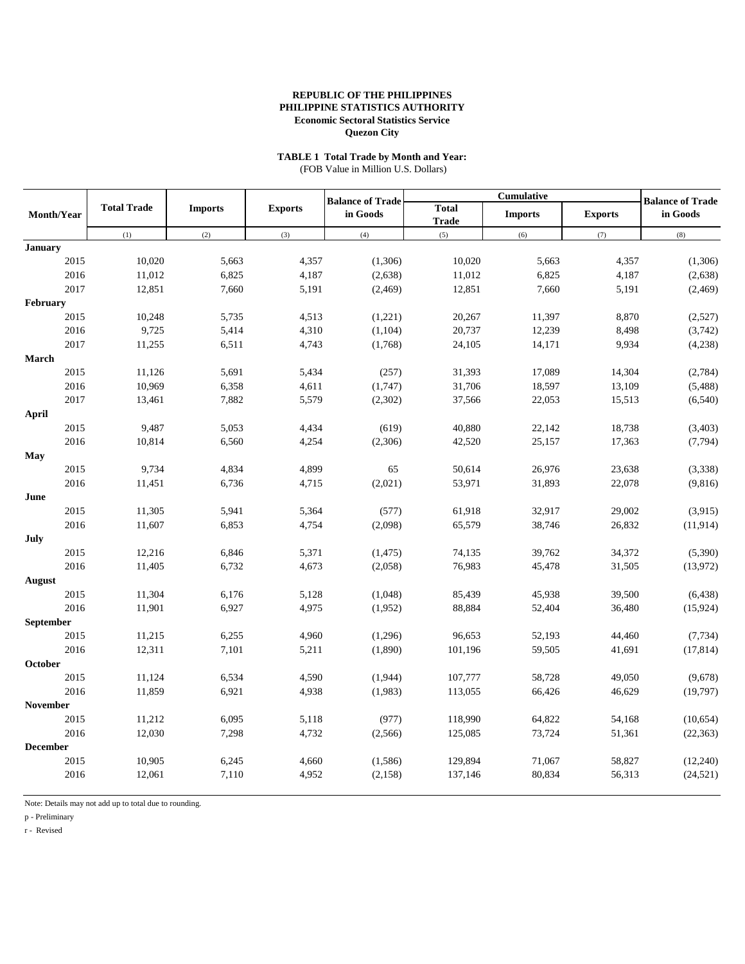**TABLE 1 Total Trade by Month and Year:**  (FOB Value in Million U.S. Dollars)

|                 |                    |                |                | <b>Balance of Trade</b> |                              | <b>Cumulative</b> |                | <b>Balance of Trade</b> |
|-----------------|--------------------|----------------|----------------|-------------------------|------------------------------|-------------------|----------------|-------------------------|
| Month/Year      | <b>Total Trade</b> | <b>Imports</b> | <b>Exports</b> | in Goods                | <b>Total</b><br><b>Trade</b> | <b>Imports</b>    | <b>Exports</b> | in Goods                |
|                 | (1)                | (2)            | (3)            | (4)                     | (5)                          | (6)               | (7)            | (8)                     |
| <b>January</b>  |                    |                |                |                         |                              |                   |                |                         |
| 2015            | 10,020             | 5,663          | 4,357          | (1,306)                 | 10,020                       | 5,663             | 4,357          | (1,306)                 |
| 2016            | 11,012             | 6,825          | 4,187          | (2,638)                 | 11,012                       | 6,825             | 4,187          | (2,638)                 |
| 2017            | 12,851             | 7,660          | 5,191          | (2,469)                 | 12,851                       | 7,660             | 5,191          | (2, 469)                |
| February        |                    |                |                |                         |                              |                   |                |                         |
| 2015            | 10,248             | 5,735          | 4,513          | (1,221)                 | 20,267                       | 11,397            | 8,870          | (2,527)                 |
| 2016            | 9,725              | 5,414          | 4,310          | (1,104)                 | 20,737                       | 12,239            | 8,498          | (3,742)                 |
| 2017            | 11,255             | 6,511          | 4,743          | (1,768)                 | 24,105                       | 14,171            | 9,934          | (4,238)                 |
| March           |                    |                |                |                         |                              |                   |                |                         |
| 2015            | 11,126             | 5,691          | 5,434          | (257)                   | 31,393                       | 17,089            | 14,304         | (2,784)                 |
| 2016            | 10,969             | 6,358          | 4,611          | (1,747)                 | 31,706                       | 18,597            | 13,109         | (5, 488)                |
| 2017            | 13,461             | 7,882          | 5,579          | (2,302)                 | 37,566                       | 22,053            | 15,513         | (6,540)                 |
| April           |                    |                |                |                         |                              |                   |                |                         |
| 2015            | 9,487              | 5,053          | 4,434          | (619)                   | 40,880                       | 22,142            | 18,738         | (3,403)                 |
| 2016            | 10,814             | 6,560          | 4,254          | (2,306)                 | 42,520                       | 25,157            | 17,363         | (7, 794)                |
| May             |                    |                |                |                         |                              |                   |                |                         |
| 2015            | 9,734              | 4,834          | 4,899          | 65                      | 50,614                       | 26,976            | 23,638         | (3,338)                 |
| 2016            | 11,451             | 6,736          | 4,715          | (2,021)                 | 53,971                       | 31,893            | 22,078         | (9, 816)                |
| June            |                    |                |                |                         |                              |                   |                |                         |
| 2015            | 11,305             | 5,941          | 5,364          | (577)                   | 61,918                       | 32,917            | 29,002         | (3,915)                 |
| 2016            | 11,607             | 6,853          | 4,754          | (2,098)                 | 65,579                       | 38,746            | 26,832         | (11, 914)               |
| July            |                    |                |                |                         |                              |                   |                |                         |
| 2015            | 12,216             | 6,846          | 5,371          | (1, 475)                | 74,135                       | 39,762            | 34,372         | (5,390)                 |
| 2016            | 11,405             | 6,732          | 4,673          | (2,058)                 | 76,983                       | 45,478            | 31,505         | (13,972)                |
| August          |                    |                |                |                         |                              |                   |                |                         |
| 2015            | 11,304             | 6,176          | 5,128          | (1,048)                 | 85,439                       | 45,938            | 39,500         | (6, 438)                |
| 2016            | 11,901             | 6,927          | 4,975          | (1,952)                 | 88,884                       | 52,404            | 36,480         | (15, 924)               |
| September       |                    |                |                |                         |                              |                   |                |                         |
| 2015            | 11,215             | 6,255          | 4,960          | (1,296)                 | 96,653                       | 52,193            | 44,460         | (7, 734)                |
| 2016            | 12,311             | 7,101          | 5,211          | (1,890)                 | 101,196                      | 59,505            | 41,691         | (17, 814)               |
| October         |                    |                |                |                         |                              |                   |                |                         |
| 2015            | 11,124             | 6,534          | 4,590          | (1,944)                 | 107,777                      | 58,728            | 49,050         | (9,678)                 |
| 2016            | 11,859             | 6,921          | 4,938          | (1,983)                 | 113,055                      | 66,426            | 46,629         | (19,797)                |
| <b>November</b> |                    |                |                |                         |                              |                   |                |                         |
| 2015            |                    | 6,095          |                |                         |                              | 64,822            |                |                         |
|                 | 11,212             |                | 5,118          | (977)                   | 118,990                      |                   | 54,168         | (10,654)                |
| 2016            | 12,030             | 7,298          | 4,732          | (2,566)                 | 125,085                      | 73,724            | 51,361         | (22, 363)               |
| <b>December</b> |                    |                |                |                         |                              |                   |                |                         |
| 2015            | 10,905             | 6,245          | 4,660          | (1,586)                 | 129,894                      | 71,067            | 58,827         | (12,240)                |
| 2016            | 12,061             | 7,110          | 4,952          | (2, 158)                | 137,146                      | 80,834            | 56,313         | (24, 521)               |
|                 |                    |                |                |                         |                              |                   |                |                         |

Note: Details may not add up to total due to rounding.

p - Preliminary

r - Revised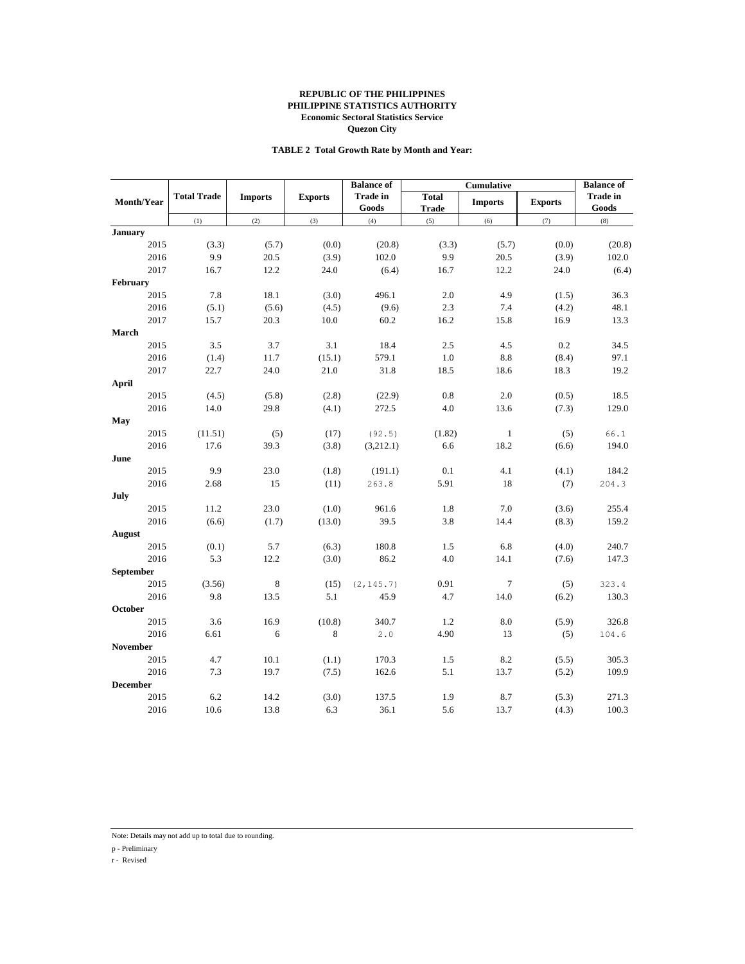## **TABLE 2 Total Growth Rate by Month and Year:**

|                 |      |                    | <b>Balance of</b> |                | <b>Balance of</b>        |                              |                              |                |                          |
|-----------------|------|--------------------|-------------------|----------------|--------------------------|------------------------------|------------------------------|----------------|--------------------------|
| Month/Year      |      | <b>Total Trade</b> | <b>Imports</b>    | <b>Exports</b> | <b>Trade in</b><br>Goods | <b>Total</b><br><b>Trade</b> | Cumulative<br><b>Imports</b> | <b>Exports</b> | <b>Trade in</b><br>Goods |
|                 |      | (1)                | (2)               | (3)            | (4)                      | (5)                          | (6)                          | (7)            | (8)                      |
| <b>January</b>  |      |                    |                   |                |                          |                              |                              |                |                          |
|                 | 2015 | (3.3)              | (5.7)             | (0.0)          | (20.8)                   | (3.3)                        | (5.7)                        | (0.0)          | (20.8)                   |
|                 | 2016 | 9.9                | 20.5              | (3.9)          | 102.0                    | 9.9                          | 20.5                         | (3.9)          | 102.0                    |
|                 | 2017 | 16.7               | 12.2              | 24.0           | (6.4)                    | 16.7                         | 12.2                         | 24.0           | (6.4)                    |
| February        |      |                    |                   |                |                          |                              |                              |                |                          |
|                 | 2015 | 7.8                | 18.1              | (3.0)          | 496.1                    | 2.0                          | 4.9                          | (1.5)          | 36.3                     |
|                 | 2016 | (5.1)              | (5.6)             | (4.5)          | (9.6)                    | 2.3                          | 7.4                          | (4.2)          | 48.1                     |
|                 | 2017 | 15.7               | 20.3              | 10.0           | 60.2                     | 16.2                         | 15.8                         | 16.9           | 13.3                     |
| March           |      |                    |                   |                |                          |                              |                              |                |                          |
|                 | 2015 | 3.5                | 3.7               | 3.1            | 18.4                     | 2.5                          | 4.5                          | 0.2            | 34.5                     |
|                 | 2016 | (1.4)              | 11.7              | (15.1)         | 579.1                    | 1.0                          | 8.8                          | (8.4)          | 97.1                     |
|                 | 2017 | 22.7               | 24.0              | 21.0           | 31.8                     | 18.5                         | 18.6                         | 18.3           | 19.2                     |
| April           |      |                    |                   |                |                          |                              |                              |                |                          |
|                 | 2015 | (4.5)              | (5.8)             | (2.8)          | (22.9)                   | 0.8                          | 2.0                          | (0.5)          | 18.5                     |
|                 | 2016 | 14.0               | 29.8              | (4.1)          | 272.5                    | 4.0                          | 13.6                         | (7.3)          | 129.0                    |
| May             |      |                    |                   |                |                          |                              |                              |                |                          |
|                 | 2015 | (11.51)            | (5)               | (17)           | (92.5)                   | (1.82)                       | $1\,$                        | (5)            | 66.1                     |
|                 | 2016 | 17.6               | 39.3              | (3.8)          | (3,212.1)                | 6.6                          | 18.2                         | (6.6)          | 194.0                    |
| June            |      |                    |                   |                |                          |                              |                              |                |                          |
|                 | 2015 | 9.9                | 23.0              | (1.8)          | (191.1)                  | 0.1                          | 4.1                          | (4.1)          | 184.2                    |
|                 | 2016 | 2.68               | 15                | (11)           | 263.8                    | 5.91                         | 18                           | (7)            | 204.3                    |
| July            |      |                    |                   |                |                          |                              |                              |                |                          |
|                 | 2015 | 11.2               | 23.0              | (1.0)          | 961.6                    | 1.8                          | 7.0                          | (3.6)          | 255.4                    |
|                 | 2016 | (6.6)              | (1.7)             | (13.0)         | 39.5                     | 3.8                          | 14.4                         | (8.3)          | 159.2                    |
| August          |      |                    |                   |                |                          |                              |                              |                |                          |
|                 | 2015 | (0.1)              | 5.7               | (6.3)          | 180.8                    | 1.5                          | 6.8                          | (4.0)          | 240.7                    |
|                 | 2016 | 5.3                | 12.2              | (3.0)          | 86.2                     | 4.0                          | 14.1                         | (7.6)          | 147.3                    |
| September       |      |                    |                   |                |                          |                              |                              |                |                          |
|                 | 2015 | (3.56)             | 8                 | (15)           | (2, 145, 7)              | 0.91                         | $7\phantom{.0}$              | (5)            | 323.4                    |
|                 | 2016 | 9.8                | 13.5              | 5.1            | 45.9                     | 4.7                          | 14.0                         | (6.2)          | 130.3                    |
| October         |      |                    |                   |                |                          |                              |                              |                |                          |
|                 | 2015 | 3.6                | 16.9              | (10.8)         | 340.7                    | 1.2                          | $\ \, 8.0$                   | (5.9)          | 326.8                    |
|                 | 2016 | 6.61               | 6                 | 8              | 2.0                      | 4.90                         | 13                           | (5)            | 104.6                    |
| <b>November</b> |      |                    |                   |                |                          |                              |                              |                |                          |
|                 | 2015 | 4.7                | 10.1              | (1.1)          | 170.3                    | 1.5                          | 8.2                          | (5.5)          | 305.3                    |
|                 | 2016 | 7.3                | 19.7              | (7.5)          | 162.6                    | 5.1                          | 13.7                         | (5.2)          | 109.9                    |
| <b>December</b> |      |                    |                   |                |                          |                              |                              |                |                          |
|                 | 2015 | 6.2                | 14.2              | (3.0)          | 137.5                    | 1.9                          | 8.7                          | (5.3)          | 271.3                    |
|                 | 2016 | 10.6               | 13.8              | 6.3            | 36.1                     | 5.6                          | 13.7                         | (4.3)          | 100.3                    |

Note: Details may not add up to total due to rounding.

p - Preliminary

r - Revised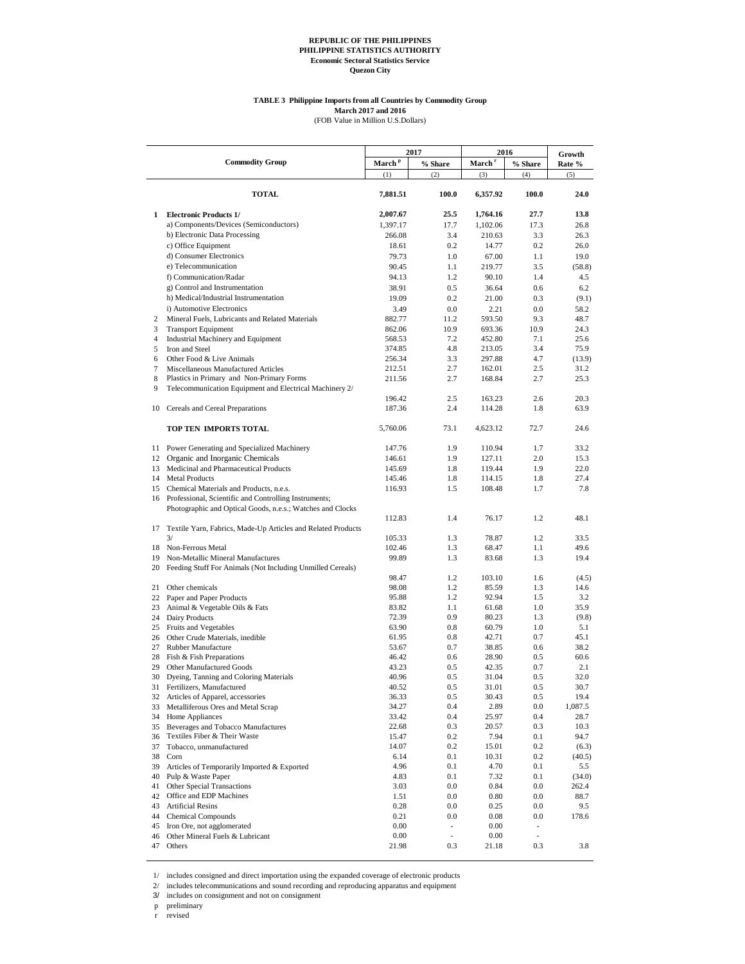#### **TABLE 3 Philippine Imports from all Countries by Commodity Group March 2017 and 2016** (FOB Value in Million U.S.Dollars)

**March <sup>p</sup> % Share March <sup>r</sup> % Share** (1)  $(2)$   $(3)$   $(4)$   $(5)$ **TOTAL 7,881.51 100.0 6,357.92 100.0 24.0 1 Electronic Products 1/ 2,007.67 25.5 1,764.16 27.7 13.8** a) Components/Devices (Semiconductors) 1,397.17 17.7 1,102.06 17.3 26.8 b) Electronic Data Processing 266.08 3.4 210.63 3.3 26.3 c) Office Equipment 18.61 0.2 14.77 0.2 26.0 d) Consumer Electronics 79.73 1.0 67.00 1.1 19.0 e) Telecommunication 90.45 1.1 219.77 3.5 (58.8) f) Communication/Radar 94.13 1.2 90.10 1.4 4.5 g) Control and Instrumentation 38.91 0.5 36.64 0.6 6.2 h) Medical/Industrial Instrumentation 19.09 0.2 21.00 0.3 (9.1) i) Automotive Electronics<br>
Mineral Fuels, Lubricants and Related Materials<br>  $882.77$  11.2 593.50 9.3 48.7 2 Mineral Fuels, Lubricants and Related Materials 882.77 11.2 593.50 9.3 48.7<br>3 Transport Equipment 10.9 693.36 10.9 24.3 3 Transport Equipment 1.0.9 10.9 10.9 10.9 10.9 10.9 24.3<br>4 Industrial Machinery and Equipment 1.0 1.0 1.0 1.0 1.0 1.0 1.0 1.0 1.0 25.6 1 Industrial Machinery and Equipment 568.53 7.2 452.80 7.1 5 Iron and Steel 374.85 4.8 213.05 3.4 75.9 6 Other Food & Live Animals 256.34 3.3 297.88 4.7 (13.9) 7 Miscellaneous Manufactured Articles 212.51 2.7 162.01 2.5 31.2 8 Plastics in Primary and Non-Primary Forms 211.56 2.7 168.84 2.7 25.3 9 Telecommunication Equipment and Electrical Machinery 2/ 196.42 2.5 163.23 2.6 20.3 10 Cereals and Cereal Preparations 187.36 2.4 114.28 1.8 63.9 **TOP TEN IMPORTS TOTAL** 5,760.06 73.1 4,623.12 72.7 24.6 11 Power Generating and Specialized Machinery 147.76 1.9 110.94 1.7 33.2 12 Organic and Inorganic Chemicals<br>
13 Medicinal and Pharmaceutical Products<br>
145.69 1.8 119.44 1.9 22.0 13 Medicinal and Pharmaceutical Products<br>
145.69 1.8 119.44 1.9 22.0<br>
14 Metal Products 1.8 114.15 1.8 27.4 14 Metal Products 145.46 1.8 114.15 1.8<br>15 Chemical Materials and Products, n.e.s. 116.93 1.5 108.48 1.7 15 Chemical Materials and Products, n.e.s. 116.93 1.5 108.48 1.7 7.8 16 Professional, Scientific and Controlling Instruments; Photographic and Optical Goods, n.e.s.; Watches and Clocks 112.83 1.4 76.17 1.2 48.1 17 Textile Yarn, Fabrics, Made-Up Articles and Related Products  $\frac{3}{}{}$  105.33 1.3 78.87 1.2 33.5 18 Non-Ferrous Metal 102.46 1.3 68.47 1.1 49.6 19 Non-Metallic Mineral Manufactures 99.89 1.3 83.68 1.3 19.4 20 Feeding Stuff For Animals (Not Including Unmilled Cereals) 98.47 1.2 103.10 1.6 (4.5)<br>98.08 1.2 85.59 1.3 14.6 21 Other chemicals 14.6<br>22 Paper and Paper Products 1.2 95.88 1.2 92.94 1.5 3.2 22 Paper and Paper Products<br>
23 Animal & Vegetable Oils & Fats<br>
23 Animal & Vegetable Oils & Fats<br>
23 Animal & Vegetable Oils & Fats 23 Animal & Vegetable Oils & Fats 83.82 1.1 61.68 1.0 35.9<br>24 Dairy Products 72.39 0.9 80.23 1.3 (9.8) 24 Dairy Products<br>
24.9 Dairy Products<br>
24.3 Pruits and Vegetables<br>
24.3 (9.8) 22.39 0.9 80.23 1.3 (9.8)<br>
25.1 63.90 0.8 60.79 1.0 5.1 25 Fruits and Vegetables 26 Other Crude Materials, inedible 61.95 0.8 42.71 0.7 45.1 27 Rubber Manufacture 53.67 0.7 38.85 0.6 38.2 28 Fish & Fish Preparations 46.42 0.6 28.90 0.5 60.6 29 Other Manufactured Goods 43.23 0.5 42.35 0.7 2.1 30 Dyeing, Tanning and Coloring Materials 40.96 0.5 31.04 0.5 32.0 31 Fertilizers, Manufactured 40.52 0.5 31.01 0.5 30.7<br>32 Articles of Apparel, accessories 62.03 30.3 30.43 0.5 30.43 0.5 19.4 32 Articles of Apparel, accessories 36.33 0.5 30.43 0.5 19.4<br>33 Metalliferous Ores and Metal Scrap 34.27 0.4 2.89 0.0 1,087.5 1.087.5 Metalliferous Ores and Metal Scrap 34.27 0.4 2.89 0.0 1,087.5 Mome Appliances 33.42 0.4 25.97 0.4 28.7 34 Home Appliances 35 Beverages and Tobacco Manufactures 22.68 0.3 20.57 0.3 10.3 36 Textiles Fiber & Their Waste 15.47 0.2 7.94 0.1 94.7 37 Tobacco, unmanufactured 14.07 0.2 15.01 0.2 (6.3) 38 Corn 6.14 0.1 10.31 0.2 (40.5) 39 Articles of Temporarily Imported & Exported 4.96 0.1 4.70 0.1 5.5<br>48 0.1 5.5 0.1 4.70 0.1 4.40 40 Pulp & Waste Paper 4.83 0.1 7.32 0.1 41 Other Special Transactions <br>42 Office and EDP Machines <br>42 Office and EDP Machines <br>42 Office and EDP Machines <br>42 Office and EDP Machines <br>42 Office and EDP Machines <br>42 Office and EDP Machines <br>42 Office and EDP Machi Office and EDP Machines 43 Artificial Resins 10.28 0.28 0.0 0.25 0.0 9.5<br>44 Chemical Compounds 0.21 0.0 0.08 0.0 178.6 44 Chemical Compounds 0.21 0.0 0.08 0.0 178.6 45 Iron Ore, not agglomerated 0.00 - 0.00 - 0.00 -46 Other Mineral Fuels & Lubricant 0.00  $\qquad 0.00$  - 0.00 47 Others 21.98 0.3 21.18 0.3 3.8 **2017 2016 Commodity Group Growth Rate %** 

1/ includes consigned and direct importation using the expanded coverage of electronic products

2/ includes telecommunications and sound recording and reproducing apparatus and equipment

3/ includes on consignment and not on consignment

p preliminary

revised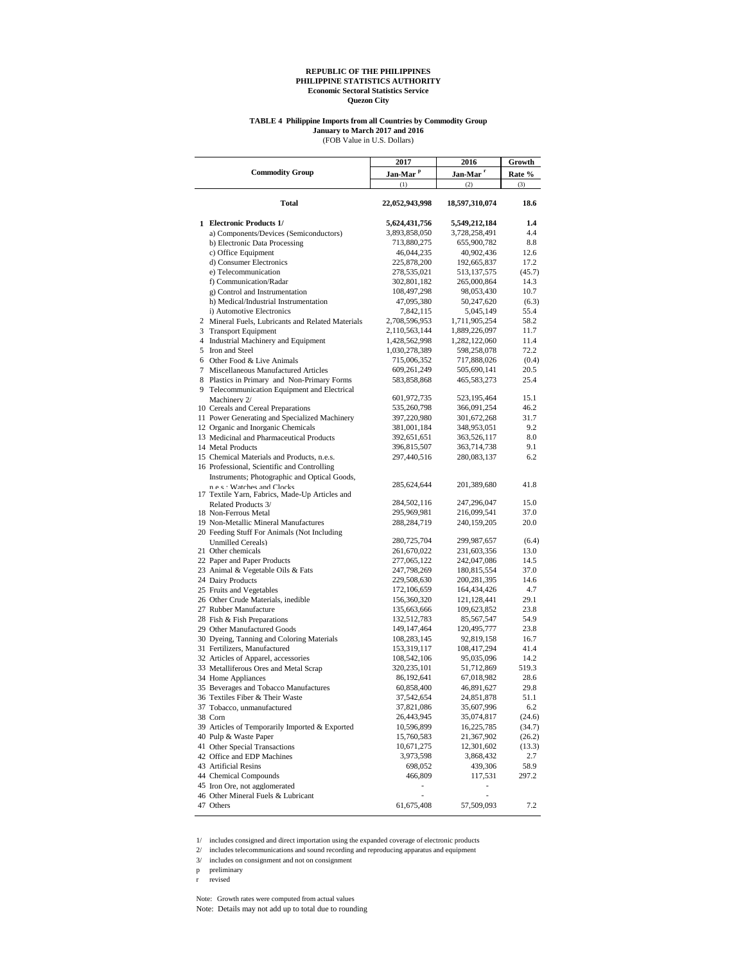#### **TABLE 4 Philippine Imports from all Countries by Commodity Group January to March 2017 and 2016**

(FOB Value in U.S. Dollars)

|                                                        | 2017                       | 2016                       | Growth        |
|--------------------------------------------------------|----------------------------|----------------------------|---------------|
| <b>Commodity Group</b>                                 | Jan-Mar <sup>P</sup>       | Jan-Mar <sup>r</sup>       | Rate %        |
|                                                        | (1)                        | (2)                        | (3)           |
| Total                                                  | 22,052,943,998             | 18,597,310,074             | 18.6          |
| 1 Electronic Products 1/                               | 5,624,431,756              | 5,549,212,184              | 1.4           |
| a) Components/Devices (Semiconductors)                 | 3,893,858,050              | 3,728,258,491              | 4.4           |
| b) Electronic Data Processing                          | 713,880,275                | 655,900,782                | 8.8           |
| c) Office Equipment                                    | 46,044,235                 | 40,902,436                 | 12.6          |
| d) Consumer Electronics                                | 225,878,200                | 192,665,837                | 17.2          |
| e) Telecommunication                                   | 278,535,021                | 513,137,575                | (45.7)        |
| f) Communication/Radar                                 | 302,801,182                | 265,000,864                | 14.3          |
| g) Control and Instrumentation                         | 108,497,298                | 98,053,430                 | 10.7          |
| h) Medical/Industrial Instrumentation                  | 47,095,380                 | 50,247,620                 | (6.3)         |
| i) Automotive Electronics                              | 7,842,115                  | 5,045,149                  | 55.4          |
| 2 Mineral Fuels, Lubricants and Related Materials      | 2,708,596,953              | 1,711,905,254              | 58.2          |
| 3 Transport Equipment                                  | 2,110,563,144              | 1,889,226,097              | 11.7          |
| 4 Industrial Machinery and Equipment                   | 1,428,562,998              | 1,282,122,060              | 11.4          |
| 5 Iron and Steel                                       | 1,030,278,389              | 598,258,078                | 72.2          |
| 6 Other Food & Live Animals                            | 715,006,352                | 717,888,026                | (0.4)         |
| 7 Miscellaneous Manufactured Articles                  | 609,261,249                | 505,690,141                | 20.5          |
| 8 Plastics in Primary and Non-Primary Forms            | 583,858,868                | 465,583,273                | 25.4          |
| 9 Telecommunication Equipment and Electrical           | 601,972,735                | 523,195,464                | 15.1          |
| Machinery 2/<br>10 Cereals and Cereal Preparations     | 535,260,798                | 366,091,254                | 46.2          |
| 11 Power Generating and Specialized Machinery          | 397,220,980                | 301,672,268                | 31.7          |
| 12 Organic and Inorganic Chemicals                     | 381,001,184                | 348,953,051                | 9.2           |
| 13 Medicinal and Pharmaceutical Products               | 392,651,651                | 363,526,117                | 8.0           |
| 14 Metal Products                                      | 396,815,507                | 363,714,738                | 9.1           |
| 15 Chemical Materials and Products, n.e.s.             | 297,440,516                | 280,083,137                | 6.2           |
| 16 Professional, Scientific and Controlling            |                            |                            |               |
| Instruments; Photographic and Optical Goods,           |                            |                            |               |
| n e.s. Watches and Clocks                              | 285,624,644                | 201,389,680                | 41.8          |
| 17 Textile Yarn, Fabrics, Made-Up Articles and         |                            |                            |               |
| Related Products 3/                                    | 284,502,116                | 247,296,047                | 15.0          |
| 18 Non-Ferrous Metal                                   | 295,969,981                | 216,099,541                | 37.0          |
| 19 Non-Metallic Mineral Manufactures                   | 288,284,719                | 240,159,205                | 20.0          |
| 20 Feeding Stuff For Animals (Not Including            |                            |                            |               |
| Unmilled Cereals)                                      | 280,725,704                | 299,987,657                | (6.4)<br>13.0 |
| 21 Other chemicals<br>22 Paper and Paper Products      | 261,670,022                | 231,603,356                | 14.5          |
|                                                        | 277,065,122                | 242,047,086                | 37.0          |
| 23 Animal & Vegetable Oils & Fats<br>24 Dairy Products | 247,798,269<br>229,508,630 | 180,815,554<br>200,281,395 | 14.6          |
| 25 Fruits and Vegetables                               | 172, 106, 659              | 164,434,426                | 4.7           |
| 26 Other Crude Materials, inedible                     | 156,360,320                | 121,128,441                | 29.1          |
| 27 Rubber Manufacture                                  | 135,663,666                | 109,623,852                | 23.8          |
| 28 Fish & Fish Preparations                            | 132,512,783                | 85,567,547                 | 54.9          |
| 29 Other Manufactured Goods                            | 149, 147, 464              | 120,495,777                | 23.8          |
| 30 Dyeing, Tanning and Coloring Materials              | 108,283,145                | 92,819,158                 | 16.7          |
| 31 Fertilizers, Manufactured                           | 153,319,117                | 108,417,294                | 41.4          |
| 32 Articles of Apparel, accessories                    | 108,542,106                | 95,035,096                 | 14.2          |
| 33 Metalliferous Ores and Metal Scrap                  | 320, 235, 101              | 51,712,869                 | 519.3         |
| 34 Home Appliances                                     | 86,192,641                 | 67,018,982                 | 28.6          |
| 35 Beverages and Tobacco Manufactures                  | 60,858,400                 | 46,891,627                 | 29.8          |
| 36 Textiles Fiber & Their Waste                        | 37,542,654                 | 24,851,878                 | 51.1          |
| 37 Tobacco, unmanufactured                             | 37,821,086                 | 35,607,996                 | 6.2           |
| 38 Corn                                                | 26,443,945                 | 35,074,817                 | (24.6)        |
| 39 Articles of Temporarily Imported & Exported         | 10,596,899                 | 16,225,785                 | (34.7)        |
| 40 Pulp & Waste Paper                                  | 15,760,583                 | 21,367,902                 | (26.2)        |
| 41 Other Special Transactions                          | 10,671,275                 | 12,301,602                 | (13.3)        |
| 42 Office and EDP Machines                             | 3,973,598                  | 3,868,432                  | 2.7           |
| 43 Artificial Resins                                   | 698,052                    | 439,306                    | 58.9          |
| 44 Chemical Compounds                                  | 466,809                    | 117,531                    | 297.2         |
| 45 Iron Ore, not agglomerated                          |                            | ÷,                         |               |
| 46 Other Mineral Fuels & Lubricant                     | ÷,                         | $\overline{a}$             |               |
| 47 Others                                              | 61, 675, 408               | 57,509,093                 | 7.2           |

1/ includes consigned and direct importation using the expanded coverage of electronic products

2/ includes telecommunications and sound recording and reproducing apparatus and equipment

3/ includes on consignment and not on consignment

p preliminary

r revised

Note: Growth rates were computed from actual values Note: Details may not add up to total due to rounding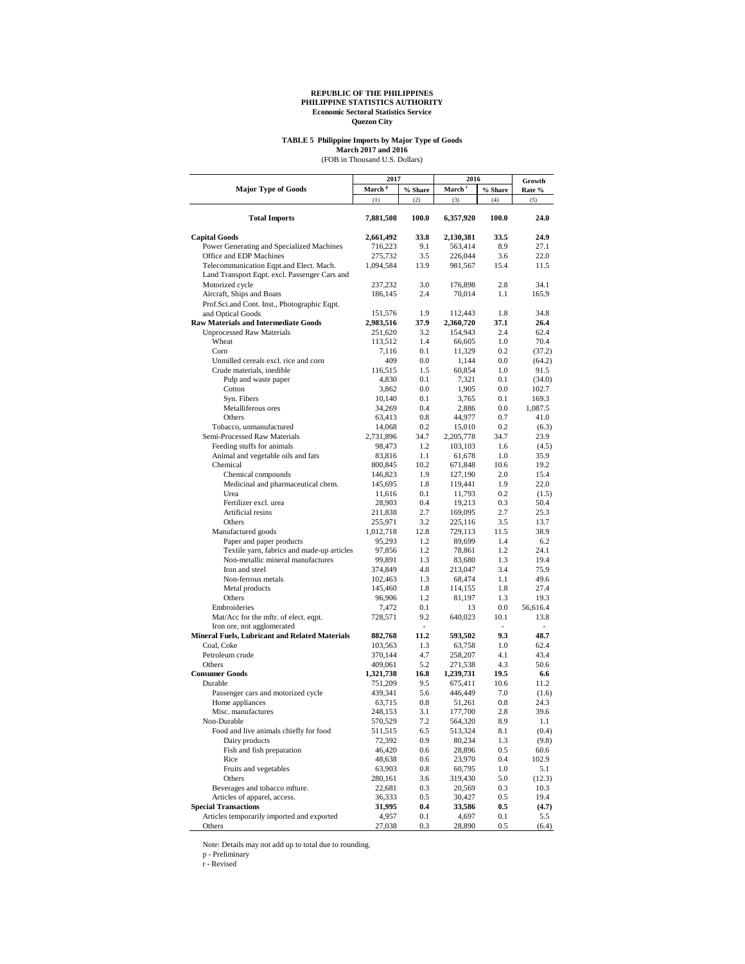## **TABLE 5 Philippine Imports by Major Type of Goods** March 2017 and 2016<br>(FOB in Thousand U.S. Dollars)

|                                                                     | 2017                 |             | 2016                 | Growth      |              |
|---------------------------------------------------------------------|----------------------|-------------|----------------------|-------------|--------------|
| <b>Major Type of Goods</b>                                          | March <sup>p</sup>   | % Share     | March <sup>r</sup>   | % Share     | Rate %       |
|                                                                     | (1)                  | (2)         | (3)                  | (4)         | (5)          |
| <b>Total Imports</b>                                                | 7,881,508            | 100.0       | 6,357,920            | 100.0       | 24.0         |
| <b>Capital Goods</b>                                                | 2,661,492            | 33.8        | 2,130,381            | 33.5        | 24.9         |
| Power Generating and Specialized Machines                           | 716,223              | 9.1         | 563,414              | 8.9         | 27.1         |
| Office and EDP Machines                                             | 275,732              | 3.5         | 226,044              | 3.6         | 22.0         |
| Telecommunication Eqpt.and Elect. Mach.                             | 1,094,584            | 13.9        | 981,567              | 15.4        | 11.5         |
| Land Transport Eqpt. excl. Passenger Cars and                       |                      |             |                      |             |              |
| Motorized cycle                                                     | 237,232              | 3.0         | 176,898              | 2.8         | 34.1         |
| Aircraft, Ships and Boats                                           | 186,145              | 2.4         | 70,014               | 1.1         | 165.9        |
| Prof.Sci.and Cont. Inst., Photographic Eqpt.                        |                      |             |                      |             |              |
| and Optical Goods<br><b>Raw Materials and Intermediate Goods</b>    | 151,576<br>2,983,516 | 1.9<br>37.9 | 112,443<br>2,360,720 | 1.8<br>37.1 | 34.8<br>26.4 |
| <b>Unprocessed Raw Materials</b>                                    | 251,620              | 3.2         | 154,943              | 2.4         | 62.4         |
| Wheat                                                               | 113,512              | 1.4         | 66,605               | 1.0         | 70.4         |
| Corn                                                                | 7,116                | 0.1         | 11,329               | 0.2         | (37.2)       |
| Unmilled cereals excl. rice and corn                                | 409                  | 0.0         | 1,144                | 0.0         | (64.2)       |
| Crude materials, inedible                                           | 116,515              | 1.5         | 60,854               | 1.0         | 91.5         |
| Pulp and waste paper                                                | 4,830                | 0.1         | 7,321                | 0.1         | (34.0)       |
| Cotton                                                              | 3,862                | 0.0         | 1,905                | 0.0         | 102.7        |
| Syn. Fibers                                                         | 10,140               | 0.1         | 3,765                | 0.1         | 169.3        |
| Metalliferous ores                                                  | 34,269               | 0.4         | 2,886                | 0.0         | 1,087.5      |
| Others                                                              | 63,413               | 0.8         | 44,977               | 0.7         | 41.0         |
| Tobacco, unmanufactured                                             | 14,068               | 0.2         | 15,010               | 0.2         | (6.3)        |
| Semi-Processed Raw Materials                                        | 2,731,896            | 34.7        | 2,205,778            | 34.7        | 23.9         |
| Feeding stuffs for animals                                          | 98,473               | 1.2         | 103,103              | 1.6         | (4.5)        |
| Animal and vegetable oils and fats                                  | 83,816               | 1.1         | 61,678               | 1.0         | 35.9         |
| Chemical                                                            | 800,845              | 10.2        | 671,848              | 10.6        | 19.2         |
| Chemical compounds<br>Medicinal and pharmaceutical chem.            | 146,823<br>145,695   | 1.9<br>1.8  | 127,190<br>119,441   | 2.0<br>1.9  | 15.4<br>22.0 |
| Urea                                                                | 11,616               | 0.1         | 11,793               | 0.2         | (1.5)        |
| Fertilizer excl. urea                                               | 28,903               | 0.4         | 19,213               | 0.3         | 50.4         |
| Artificial resins                                                   | 211,838              | 2.7         | 169,095              | 2.7         | 25.3         |
| Others                                                              | 255,971              | 3.2         | 225,116              | 3.5         | 13.7         |
| Manufactured goods                                                  | 1,012,718            | 12.8        | 729,113              | 11.5        | 38.9         |
| Paper and paper products                                            | 95,293               | 1.2         | 89,699               | 1.4         | 6.2          |
| Textile yarn, fabrics and made-up articles                          | 97,856               | 1.2         | 78,861               | 1.2         | 24.1         |
| Non-metallic mineral manufactures                                   | 99,891               | 1.3         | 83,680               | 1.3         | 19.4         |
| Iron and steel                                                      | 374,849              | 4.8         | 213,047              | 3.4         | 75.9         |
| Non-ferrous metals                                                  | 102,463              | 1.3         | 68,474               | 1.1         | 49.6         |
| Metal products                                                      | 145,460              | 1.8         | 114,155              | 1.8         | 27.4         |
| Others                                                              | 96,906               | 1.2         | 81,197               | 1.3         | 19.3         |
| Embroideries                                                        | 7,472                | 0.1         | 13                   | 0.0         | 56,616.4     |
| Mat/Acc for the mftr. of elect. eqpt.<br>Iron ore, not agglomerated | 728,571              | 9.2<br>٠    | 640,023              | 10.1<br>٠   | 13.8<br>÷,   |
| Mineral Fuels, Lubricant and Related Materials                      | 882,768              | 11.2        | 593,502              | 9.3         | 48.7         |
| Coal, Coke                                                          | 103,563              | 1.3         | 63,758               | 1.0         | 62.4         |
| Petroleum crude                                                     | 370,144              | 4.7         | 258,207              | 4.1         | 43.4         |
| Others                                                              | 409,061              | 5.2         | 271,538              | 4.3         | 50.6         |
| <b>Consumer Goods</b>                                               | 1,321,738            | 16.8        | 1,239,731            | 19.5        | 6.6          |
| Durable                                                             | 751,209              | 9.5         | 675,411              | 10.6        | 11.2         |
| Passenger cars and motorized cycle                                  | 439,341              | 5.6         | 446,449              | 7.0         | (1.6)        |
| Home appliances                                                     | 63,715               | 0.8         | 51,261               | 0.8         | 24.3         |
| Misc. manufactures                                                  | 248,153              | 3.1         | 177,700              | 2.8         | 39.6         |
| Non-Durable                                                         | 570,529              | 7.2         | 564,320              | 8.9         | $1.1\,$      |
| Food and live animals chiefly for food                              | 511,515              | 6.5         | 513,324              | 8.1         | (0.4)        |
| Dairy products                                                      | 72,392               | 0.9         | 80,234               | 1.3         | (9.8)        |
| Fish and fish preparation                                           | 46,420               | 0.6         | 28,896               | 0.5         | 60.6         |
| Rice<br>Fruits and vegetables                                       | 48,638<br>63,903     | 0.6<br>0.8  | 23,970<br>60,795     | 0.4<br>1.0  | 102.9<br>5.1 |
| Others                                                              | 280,161              | 3.6         | 319,430              | 5.0         | (12.3)       |
| Beverages and tobacco mfture.                                       | 22,681               | 0.3         | 20,569               | 0.3         | 10.3         |
| Articles of apparel, access.                                        | 36,333               | 0.5         | 30,427               | 0.5         | 19.4         |
| <b>Special Transactions</b>                                         | 31,995               | 0.4         | 33,586               | $0.5\,$     | (4.7)        |
| Articles temporarily imported and exported                          | 4,957                | 0.1         | 4,697                | 0.1         | 5.5          |
| Others                                                              | 27,038               | 0.3         | 28,890               | 0.5         | (6.4)        |

Note: Details may not add up to total due to rounding.

p - Preliminary r - Revised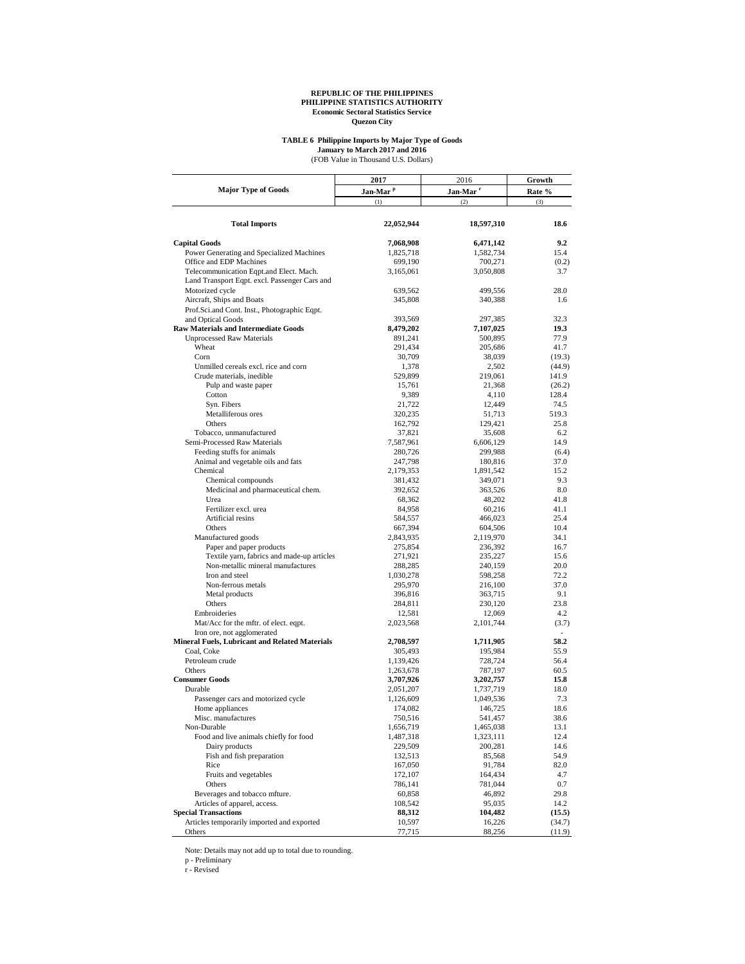## **TABLE 6 Philippine Imports by Major Type of Goods**

(FOB Value in Thousand U.S. Dollars) **January to March 2017 and 2016**

|                                                                     | 2017                 | 2016                 | Growth      |  |
|---------------------------------------------------------------------|----------------------|----------------------|-------------|--|
| <b>Major Type of Goods</b>                                          | Jan-Mar <sup>p</sup> | Jan-Mar <sup>r</sup> | Rate %      |  |
|                                                                     | (1)                  | (2)                  | (3)         |  |
| <b>Total Imports</b>                                                | 22,052,944           | 18,597,310           | 18.6        |  |
| <b>Capital Goods</b>                                                | 7,068,908            | 6,471,142            | 9.2         |  |
| Power Generating and Specialized Machines                           | 1,825,718            | 1,582,734            | 15.4        |  |
| Office and EDP Machines                                             | 699,190              | 700,271              | (0.2)       |  |
| Telecommunication Eqpt.and Elect. Mach.                             | 3,165,061            | 3,050,808            | 3.7         |  |
| Land Transport Eqpt. excl. Passenger Cars and                       |                      |                      |             |  |
| Motorized cycle                                                     | 639,562              | 499,556              | 28.0        |  |
| Aircraft, Ships and Boats                                           | 345,808              | 340,388              | 1.6         |  |
| Prof.Sci.and Cont. Inst., Photographic Eqpt.                        |                      |                      |             |  |
| and Optical Goods                                                   | 393,569              | 297,385              | 32.3        |  |
| <b>Raw Materials and Intermediate Goods</b>                         | 8,479,202            | 7,107,025            | 19.3        |  |
| <b>Unprocessed Raw Materials</b>                                    | 891,241              | 500,895              | 77.9        |  |
| Wheat                                                               | 291,434              | 205,686              | 41.7        |  |
| Corn                                                                | 30,709               | 38,039               | (19.3)      |  |
| Unmilled cereals excl. rice and corn                                | 1,378                | 2,502                | (44.9)      |  |
| Crude materials, inedible                                           | 529,899              | 219,061              | 141.9       |  |
| Pulp and waste paper                                                | 15,761               | 21,368               | (26.2)      |  |
| Cotton                                                              | 9,389                | 4,110                | 128.4       |  |
| Syn. Fibers                                                         | 21,722               | 12,449               | 74.5        |  |
| Metalliferous ores                                                  | 320,235              | 51,713               | 519.3       |  |
| Others<br>Tobacco, unmanufactured                                   | 162,792<br>37,821    | 129,421<br>35,608    | 25.8<br>6.2 |  |
| Semi-Processed Raw Materials                                        | 7,587,961            | 6,606,129            | 14.9        |  |
| Feeding stuffs for animals                                          | 280,726              | 299,988              | (6.4)       |  |
| Animal and vegetable oils and fats                                  | 247,798              | 180,816              | 37.0        |  |
| Chemical                                                            | 2,179,353            | 1,891,542            | 15.2        |  |
| Chemical compounds                                                  | 381,432              | 349,071              | 9.3         |  |
| Medicinal and pharmaceutical chem.                                  | 392,652              | 363,526              | 8.0         |  |
| Urea                                                                | 68,362               | 48,202               | 41.8        |  |
| Fertilizer excl. urea                                               | 84,958               | 60,216               | 41.1        |  |
| Artificial resins                                                   | 584,557              | 466,023              | 25.4        |  |
| Others                                                              | 667,394              | 604,506              | 10.4        |  |
| Manufactured goods                                                  | 2,843,935            | 2,119,970            | 34.1        |  |
| Paper and paper products                                            | 275,854              | 236,392              | 16.7        |  |
| Textile yarn, fabrics and made-up articles                          | 271,921              | 235,227              | 15.6        |  |
| Non-metallic mineral manufactures                                   | 288,285              | 240,159              | 20.0        |  |
| Iron and steel                                                      | 1,030,278            | 598,258              | 72.2        |  |
| Non-ferrous metals                                                  | 295,970              | 216,100              | 37.0        |  |
| Metal products                                                      | 396,816              | 363,715              | 9.1         |  |
| Others                                                              | 284,811              | 230,120              | 23.8        |  |
| Embroideries                                                        | 12,581               | 12,069               | 4.2         |  |
| Mat/Acc for the mftr. of elect. eqpt.<br>Iron ore, not agglomerated | 2,023,568            | 2,101,744            | (3.7)<br>٠  |  |
| <b>Mineral Fuels, Lubricant and Related Materials</b>               | 2,708,597            | 1,711,905            | 58.2        |  |
| Coal, Coke                                                          | 305,493              | 195,984              | 55.9        |  |
| Petroleum crude                                                     | 1,139,426            | 728,724              | 56.4        |  |
| Others                                                              | 1,263,678            | 787,197              | 60.5        |  |
| <b>Consumer Goods</b>                                               | 3,707,926            | 3,202,757            | 15.8        |  |
| Durable                                                             | 2,051,207            | 1,737,719            | 18.0        |  |
| Passenger cars and motorized cycle                                  | 1,126,609            | 1,049,536            | 7.3         |  |
| Home appliances                                                     | 174,082              | 146,725              | 18.6        |  |
| Misc. manufactures                                                  | 750,516              | 541,457              | 38.6        |  |
| Non-Durable                                                         | 1,656,719            | 1,465,038            | 13.1        |  |
| Food and live animals chiefly for food                              | 1,487,318            | 1,323,111            | 12.4        |  |
| Dairy products                                                      | 229,509              | 200,281              | 14.6        |  |
| Fish and fish preparation                                           | 132,513              | 85,568               | 54.9        |  |
| Rice                                                                | 167,050              | 91,784               | 82.0        |  |
| Fruits and vegetables                                               | 172,107              | 164,434              | 4.7         |  |
| Others                                                              | 786,141              | 781,044              | 0.7         |  |
| Beverages and tobacco mfture.                                       | 60,858               | 46,892               | 29.8        |  |
| Articles of apparel, access.                                        | 108,542              | 95,035               | 14.2        |  |
| <b>Special Transactions</b>                                         | 88,312               | 104,482              | (15.5)      |  |
| Articles temporarily imported and exported                          | 10,597               | 16,226               | (34.7)      |  |
| Others                                                              | 77,715               | 88,256               | (11.9)      |  |

Note: Details may not add up to total due to rounding. p - Preliminary r - Revised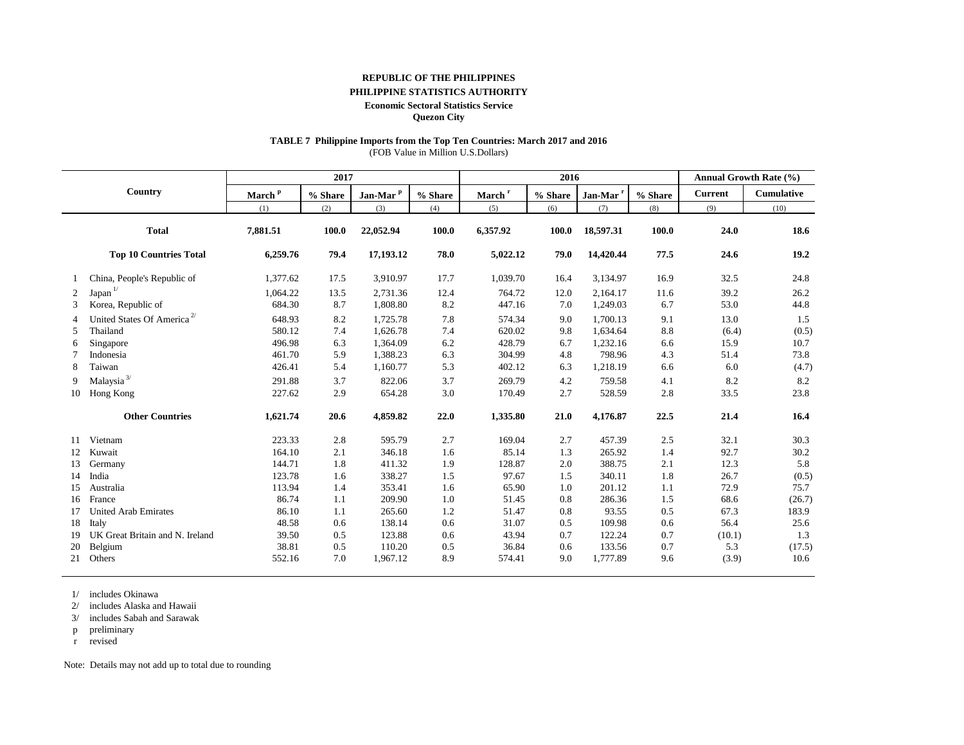#### **REPUBLIC OF THE PHILIPPINES**

**PHILIPPINE STATISTICS AUTHORITY**

**Economic Sectoral Statistics Service**

**Quezon City**

# **TABLE 7 Philippine Imports from the Top Ten Countries: March 2017 and 2016**

|  |  |  | (FOB Value in Million U.S.Dollars) |
|--|--|--|------------------------------------|
|--|--|--|------------------------------------|

|    |                                        |                    | 2017    |                      |         |                    | 2016    |                      |         |                | <b>Annual Growth Rate (%)</b> |
|----|----------------------------------------|--------------------|---------|----------------------|---------|--------------------|---------|----------------------|---------|----------------|-------------------------------|
|    | Country                                | March <sup>P</sup> | % Share | Jan-Mar <sup>p</sup> | % Share | March <sup>r</sup> | % Share | Jan-Mar <sup>1</sup> | % Share | <b>Current</b> | Cumulative                    |
|    |                                        | (1)                | (2)     | (3)                  | (4)     | (5)                | (6)     | (7)                  | (8)     | (9)            | (10)                          |
|    | <b>Total</b>                           | 7,881.51           | 100.0   | 22,052.94            | 100.0   | 6,357.92           | 100.0   | 18,597.31            | 100.0   | 24.0           | 18.6                          |
|    | <b>Top 10 Countries Total</b>          | 6,259.76           | 79.4    | 17,193.12            | 78.0    | 5,022.12           | 79.0    | 14,420.44            | 77.5    | 24.6           | 19.2                          |
|    | China, People's Republic of            | 1,377.62           | 17.5    | 3,910.97             | 17.7    | 1,039.70           | 16.4    | 3,134.97             | 16.9    | 32.5           | 24.8                          |
| 2  | Japan <sup>1</sup>                     | 1,064.22           | 13.5    | 2,731.36             | 12.4    | 764.72             | 12.0    | 2,164.17             | 11.6    | 39.2           | 26.2                          |
| 3  | Korea, Republic of                     | 684.30             | 8.7     | 1,808.80             | 8.2     | 447.16             | 7.0     | 1,249.03             | 6.7     | 53.0           | 44.8                          |
| 4  | United States Of America <sup>2/</sup> | 648.93             | 8.2     | 1,725.78             | 7.8     | 574.34             | 9.0     | 1,700.13             | 9.1     | 13.0           | 1.5                           |
| 5  | Thailand                               | 580.12             | 7.4     | 1,626.78             | 7.4     | 620.02             | 9.8     | 1,634.64             | 8.8     | (6.4)          | (0.5)                         |
| 6  | Singapore                              | 496.98             | 6.3     | 1,364.09             | 6.2     | 428.79             | 6.7     | 1,232.16             | 6.6     | 15.9           | 10.7                          |
|    | Indonesia                              | 461.70             | 5.9     | 1,388.23             | 6.3     | 304.99             | 4.8     | 798.96               | 4.3     | 51.4           | 73.8                          |
| 8  | Taiwan                                 | 426.41             | 5.4     | 1,160.77             | 5.3     | 402.12             | 6.3     | 1,218.19             | 6.6     | 6.0            | (4.7)                         |
| 9  | Malaysia $^{3\prime}$                  | 291.88             | 3.7     | 822.06               | 3.7     | 269.79             | 4.2     | 759.58               | 4.1     | 8.2            | 8.2                           |
| 10 | Hong Kong                              | 227.62             | 2.9     | 654.28               | 3.0     | 170.49             | 2.7     | 528.59               | 2.8     | 33.5           | 23.8                          |
|    | <b>Other Countries</b>                 | 1,621.74           | 20.6    | 4,859.82             | 22.0    | 1,335.80           | 21.0    | 4,176.87             | 22.5    | 21.4           | 16.4                          |
| 11 | Vietnam                                | 223.33             | 2.8     | 595.79               | 2.7     | 169.04             | 2.7     | 457.39               | 2.5     | 32.1           | 30.3                          |
| 12 | Kuwait                                 | 164.10             | 2.1     | 346.18               | 1.6     | 85.14              | 1.3     | 265.92               | 1.4     | 92.7           | 30.2                          |
| 13 | Germany                                | 144.71             | 1.8     | 411.32               | 1.9     | 128.87             | 2.0     | 388.75               | 2.1     | 12.3           | 5.8                           |
| 14 | India                                  | 123.78             | 1.6     | 338.27               | 1.5     | 97.67              | 1.5     | 340.11               | 1.8     | 26.7           | (0.5)                         |
| 15 | Australia                              | 113.94             | 1.4     | 353.41               | 1.6     | 65.90              | 1.0     | 201.12               | 1.1     | 72.9           | 75.7                          |
| 16 | France                                 | 86.74              | 1.1     | 209.90               | 1.0     | 51.45              | 0.8     | 286.36               | 1.5     | 68.6           | (26.7)                        |
| 17 | <b>United Arab Emirates</b>            | 86.10              | 1.1     | 265.60               | 1.2     | 51.47              | 0.8     | 93.55                | 0.5     | 67.3           | 183.9                         |
| 18 | Italy                                  | 48.58              | 0.6     | 138.14               | 0.6     | 31.07              | 0.5     | 109.98               | 0.6     | 56.4           | 25.6                          |
| 19 | UK Great Britain and N. Ireland        | 39.50              | 0.5     | 123.88               | 0.6     | 43.94              | 0.7     | 122.24               | 0.7     | (10.1)         | 1.3                           |
| 20 | Belgium                                | 38.81              | 0.5     | 110.20               | 0.5     | 36.84              | 0.6     | 133.56               | 0.7     | 5.3            | (17.5)                        |
| 21 | Others                                 | 552.16             | 7.0     | 1,967.12             | 8.9     | 574.41             | 9.0     | 1,777.89             | 9.6     | (3.9)          | 10.6                          |

1/ includes Okinawa

2/ includes Alaska and Hawaii

3/ includes Sabah and Sarawak

p preliminary

r revised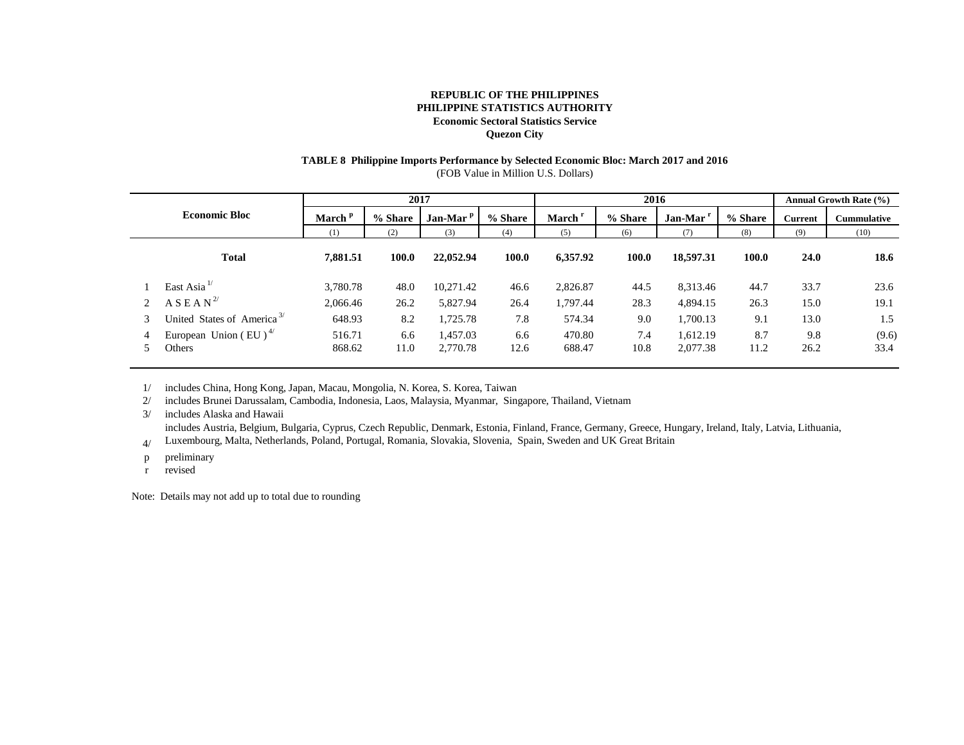# **TABLE 8 Philippine Imports Performance by Selected Economic Bloc: March 2017 and 2016**

(FOB Value in Million U.S. Dollars)

|   |                                                | 2017               |         |                      | 2016    |                    |         |                      | <b>Annual Growth Rate (%)</b> |                |                    |
|---|------------------------------------------------|--------------------|---------|----------------------|---------|--------------------|---------|----------------------|-------------------------------|----------------|--------------------|
|   | <b>Economic Bloc</b>                           | March <sup>P</sup> | % Share | Jan-Mar <sup>p</sup> | % Share | March <sup>r</sup> | % Share | Jan-Mar <sup>1</sup> | % Share                       | <b>Current</b> | <b>Cummulative</b> |
|   |                                                | (1)                | (2)     | (3)                  | (4)     | (5)                | (6)     | (7)                  | (8)                           | (9)            | (10)               |
|   | <b>Total</b>                                   | 7,881.51           | 100.0   | 22,052.94            | 100.0   | 6,357.92           | 100.0   | 18,597.31            | 100.0                         | 24.0           | 18.6               |
|   | East Asia $^{1/}$                              | 3,780.78           | 48.0    | 10,271.42            | 46.6    | 2,826.87           | 44.5    | 8,313.46             | 44.7                          | 33.7           | 23.6               |
|   | $A S E A N^{2/3}$                              | 2,066.46           | 26.2    | 5,827.94             | 26.4    | 1,797.44           | 28.3    | 4,894.15             | 26.3                          | 15.0           | 19.1               |
|   | United States of America <sup>3/</sup>         | 648.93             | 8.2     | 1,725.78             | 7.8     | 574.34             | 9.0     | 1,700.13             | 9.1                           | 13.0           | 1.5                |
| 4 | European Union (EU) <sup><math>4/</math></sup> | 516.71             | 6.6     | 1,457.03             | 6.6     | 470.80             | 7.4     | 1,612.19             | 8.7                           | 9.8            | (9.6)              |
| 5 | Others                                         | 868.62             | 11.0    | 2,770.78             | 12.6    | 688.47             | 10.8    | 2,077.38             | 11.2                          | 26.2           | 33.4               |

1/ includes China, Hong Kong, Japan, Macau, Mongolia, N. Korea, S. Korea, Taiwan

2/ includes Brunei Darussalam, Cambodia, Indonesia, Laos, Malaysia, Myanmar, Singapore, Thailand, Vietnam

3/ includes Alaska and Hawaii

includes Austria, Belgium, Bulgaria, Cyprus, Czech Republic, Denmark, Estonia, Finland, France, Germany, Greece, Hungary, Ireland, Italy, Latvia, Lithuania,

4/ Luxembourg, Malta, Netherlands, Poland, Portugal, Romania, Slovakia, Slovenia, Spain, Sweden and UK Great Britain

p preliminary

r revised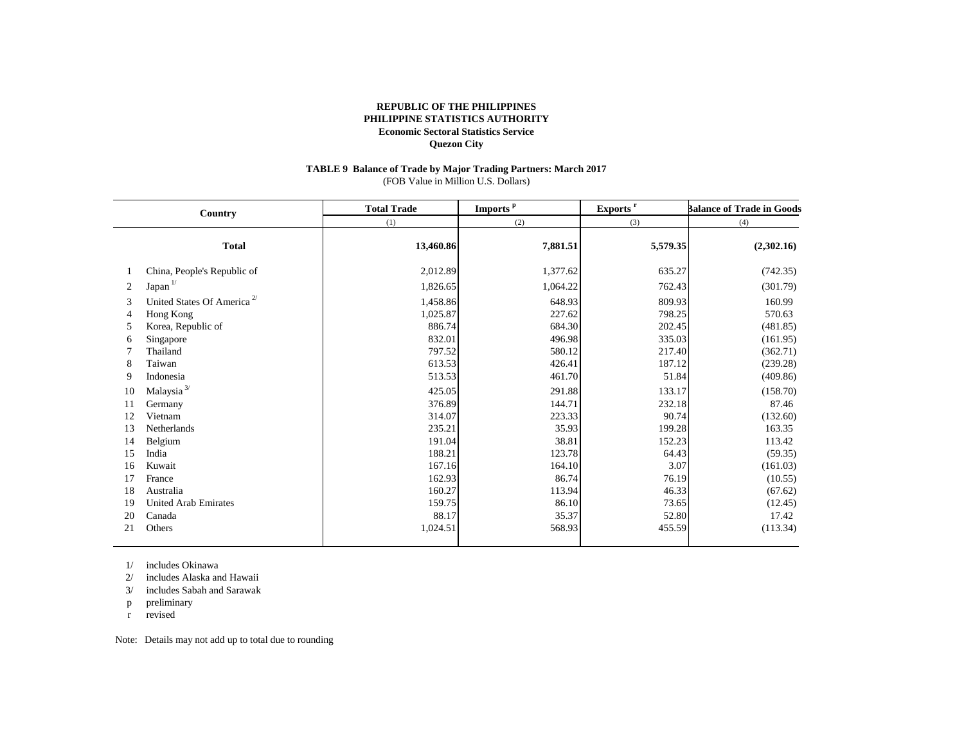#### **TABLE 9 Balance of Trade by Major Trading Partners: March 2017** (FOB Value in Million U.S. Dollars)

| Country |                                        | <b>Total Trade</b> | Imports <sup>p</sup> | Exports <sup>r</sup> | <b>Balance of Trade in Goods</b> |
|---------|----------------------------------------|--------------------|----------------------|----------------------|----------------------------------|
|         |                                        | (2)<br>(1)         |                      | (3)                  | (4)                              |
|         | <b>Total</b>                           | 13,460.86          | 7,881.51             | 5,579.35             | (2,302.16)                       |
|         | China, People's Republic of            | 2,012.89           | 1,377.62             | 635.27               | (742.35)                         |
| 2       | Japan <sup>1/</sup>                    | 1,826.65           | 1,064.22             | 762.43               | (301.79)                         |
| 3       | United States Of America <sup>2/</sup> | 1,458.86           | 648.93               | 809.93               | 160.99                           |
| 4       | Hong Kong                              | 1,025.87           | 227.62               | 798.25               | 570.63                           |
| 5       | Korea, Republic of                     | 886.74             | 684.30               | 202.45               | (481.85)                         |
| 6       | Singapore                              | 832.01             | 496.98               | 335.03               | (161.95)                         |
|         | Thailand                               | 797.52             | 580.12               | 217.40               | (362.71)                         |
| 8       | Taiwan                                 | 613.53             | 426.41               | 187.12               | (239.28)                         |
| 9       | Indonesia                              | 513.53             | 461.70               | 51.84                | (409.86)                         |
| 10      | Malaysia $^{3\prime}$                  | 425.05             | 291.88               | 133.17               | (158.70)                         |
| 11      | Germany                                | 376.89             | 144.71               | 232.18               | 87.46                            |
| 12      | Vietnam                                | 314.07             | 223.33               | 90.74                | (132.60)                         |
| 13      | Netherlands                            | 235.21             | 35.93                | 199.28               | 163.35                           |
| 14      | Belgium                                | 191.04             | 38.81                | 152.23               | 113.42                           |
| 15      | India                                  | 188.21             | 123.78               | 64.43                | (59.35)                          |
| 16      | Kuwait                                 | 167.16             | 164.10               | 3.07                 | (161.03)                         |
| 17      | France                                 | 162.93             | 86.74                | 76.19                | (10.55)                          |
| 18      | Australia                              | 160.27             | 113.94               | 46.33                | (67.62)                          |
| 19      | <b>United Arab Emirates</b>            | 159.75             | 86.10                | 73.65                | (12.45)                          |
| 20      | Canada                                 | 88.17              | 35.37                | 52.80                | 17.42                            |
| 21      | Others                                 | 1,024.51           | 568.93               | 455.59               | (113.34)                         |
|         |                                        |                    |                      |                      |                                  |

1/ includes Okinawa

2/ includes Alaska and Hawaii

3/ includes Sabah and Sarawak

p preliminary

r revised